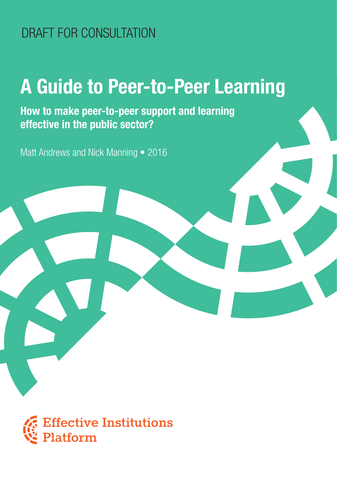# DRAFT FOR CONSULTATION

# A Guide to Peer-to-Peer Learning

How to make peer-to-peer support and learning effective in the public sector?

Matt Andrews and Nick Manning • 2016

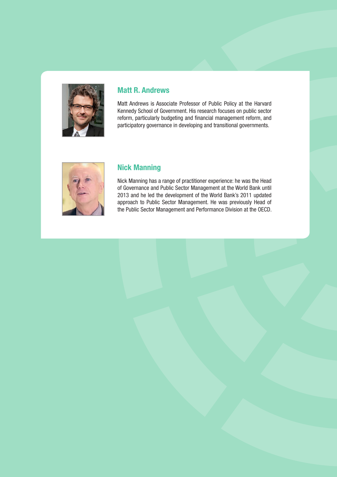

#### Matt R. Andrews

Matt Andrews is Associate Professor of Public Policy at the Harvard Kennedy School of Government. His research focuses on public sector reform, particularly budgeting and financial management reform, and participatory governance in developing and transitional governments.



#### Nick Manning

Nick Manning has a range of practitioner experience: he was the Head of Governance and Public Sector Management at the World Bank until 2013 and he led the development of the World Bank's 2011 updated approach to Public Sector Management. He was previously Head of the Public Sector Management and Performance Division at the OECD.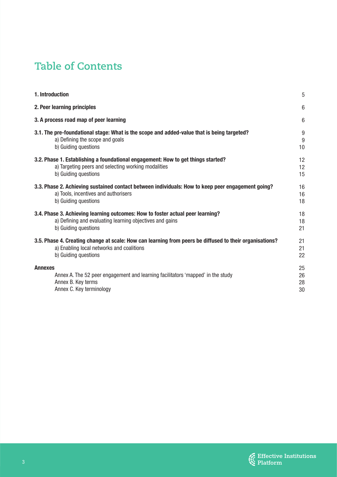# **Table of Contents**

| <b>Table of Contents</b>                                                                                                                                           |                                             |
|--------------------------------------------------------------------------------------------------------------------------------------------------------------------|---------------------------------------------|
|                                                                                                                                                                    |                                             |
| 1. Introduction                                                                                                                                                    |                                             |
| 2. Peer learning principles                                                                                                                                        |                                             |
| 3. A process road map of peer learning                                                                                                                             |                                             |
| 3.1. The pre-foundational stage: What is the scope and added-value that is being targeted?<br>a) Defining the scope and goals<br>b) Guiding questions              |                                             |
| 3.2. Phase 1. Establishing a foundational engagement: How to get things started?<br>a) Targeting peers and selecting working modalities<br>b) Guiding questions    |                                             |
| 3.3. Phase 2. Achieving sustained contact between individuals: How to keep peer engagement going?<br>a) Tools, incentives and authorisers                          |                                             |
| b) Guiding questions                                                                                                                                               |                                             |
| 3.4. Phase 3. Achieving learning outcomes: How to foster actual peer learning?<br>a) Defining and evaluating learning objectives and gains<br>b) Guiding questions |                                             |
| 3.5. Phase 4. Creating change at scale: How can learning from peers be diffused to their organisations?                                                            |                                             |
| a) Enabling local networks and coalitions<br>b) Guiding questions                                                                                                  |                                             |
| <b>Annexes</b><br>Annex A. The 52 peer engagement and learning facilitators 'mapped' in the study                                                                  |                                             |
| Annex B. Key terms<br>Annex C. Key terminology                                                                                                                     |                                             |
|                                                                                                                                                                    |                                             |
|                                                                                                                                                                    |                                             |
|                                                                                                                                                                    |                                             |
|                                                                                                                                                                    |                                             |
|                                                                                                                                                                    |                                             |
|                                                                                                                                                                    |                                             |
|                                                                                                                                                                    |                                             |
|                                                                                                                                                                    |                                             |
|                                                                                                                                                                    |                                             |
|                                                                                                                                                                    |                                             |
|                                                                                                                                                                    |                                             |
|                                                                                                                                                                    | <b>Effective Institutions</b><br>References |
|                                                                                                                                                                    |                                             |
|                                                                                                                                                                    |                                             |

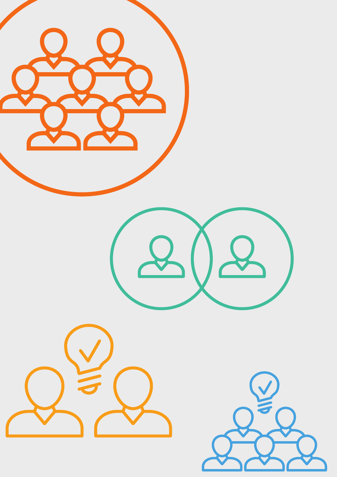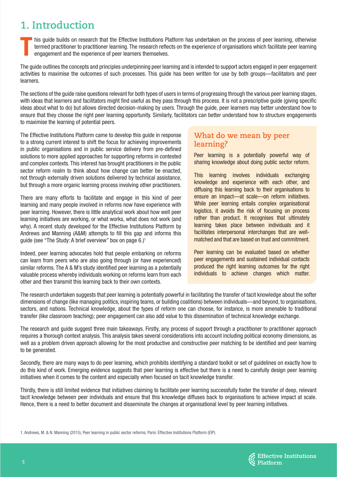# **1. Introduction**

T his guide builds on research that the Effective Institutions Platform has undertaken on the process of peer learning, otherwise termed practitioner to practitioner learning. The research reflects on the experience of organisations which facilitate peer learning engagement and the experience of peer learners themselves.

The guide outlines the concepts and principles underpinning peer learning and is intended to support actors engaged in peer engagement activities to maximise the outcomes of such processes. This guide has been written for use by both groups—facilitators and peer learners.

The sections of the guide raise questions relevant for both types of users in terms of progressing through the various peer learning stages, with ideas that learners and facilitators might find useful as they pass through this process. It is not a prescriptive guide (giving specific ideas about what to do) but allows directed decision-making by users. Through the guide, peer learners may better understand how to ensure that they choose the right peer learning opportunity. Similarly, facilitators can better understand how to structure engagements to maximise the learning of potential peers.

The Effective Institutions Platform came to develop this guide in response to a strong current interest to shift the focus for achieving improvements in public organisations and in public service delivery from pre-defined solutions to more applied approaches for supporting reforms in contested and complex contexts. This interest has brought practitioners in the public sector reform realm to think about how change can better be enacted, not through externally driven solutions delivered by technical assistance, but through a more organic learning process involving other practitioners.

There are many efforts to facilitate and engage in this kind of peer learning and many people involved in reforms now have experience with peer learning. However, there is little analytical work about how well peer learning initiatives are working, or what works, what does not work (and why). A recent study developed for the Effective Institutions Platform by Andrews and Manning (A&M) attempts to fill this gap and informs this guide (see "The Study: A brief overview" box on page 6.)1

Indeed, peer learning advocates hold that people embarking on reforms can learn from peers who are also going through (or have experienced) similar reforms. The A & M's study identified peer learning as a potentially valuable process whereby individuals working on reforms learn from each other and then transmit this learning back to their own contexts.

#### **What do we mean by peer learning?**

Peer learning is a potentially powerful way of sharing knowledge about doing public sector reform.

This learning involves individuals exchanging knowledge and experience with each other, and diffusing this learning back to their organisations to ensure an impact—at scale—on reform initiatives. While peer learning entails complex organisational logistics, it avoids the risk of focusing on process rather than product. It recognises that ultimately learning takes place between individuals and it facilitates interpersonal interchanges that are wellmatched and that are based on trust and commitment.

Peer learning can be evaluated based on whether peer engagements and sustained individual contacts produced the right learning outcomes for the right individuals to achieve changes which matter.

The research undertaken suggests that peer learning is potentially powerful in facilitating the transfer of tacit knowledge about the softer dimensions of change (like managing politics, inspiring teams, or building coalitions) between individuals—and beyond, to organisations, sectors, and nations. Technical knowledge, about the types of reform one can choose, for instance, is more amenable to traditional transfer (like classroom teaching); peer engagement can also add value to this dissemination of technical knowledge exchange.

The research and guide suggest three main takeaways. Firstly, any process of support through a practitioner to practitioner approach requires a thorough context analysis. This analysis takes several considerations into account including political economy dimensions, as well as a problem driven approach allowing for the most productive and constructive peer matching to be identified and peer learning to be generated.

Secondly, there are many ways to do peer learning, which prohibits identifying a standard toolkit or set of guidelines on exactly how to do this kind of work. Emerging evidence suggests that peer learning is effective but there is a need to carefully design peer learning initiatives when it comes to the content and especially when focused on tacit knowledge transfer.

Thirdly, there is still limited evidence that initiatives claiming to facilitate peer learning successfully foster the transfer of deep, relevant tacit knowledge between peer individuals and ensure that this knowledge diffuses back to organisations to achieve impact at scale. Hence, there is a need to better document and disseminate the changes at organisational level by peer learning initiatives.

1. Andrews, M. & N. Manning (2015), Peer learning in public sector reforms, Paris: Effective Institutions Platform (EIP).

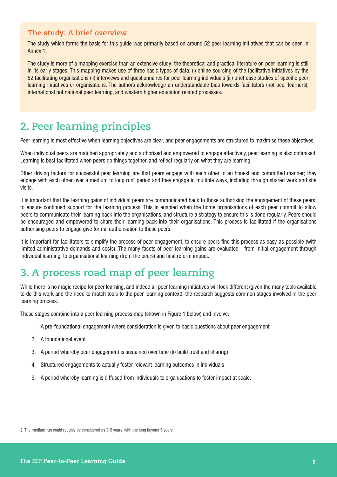#### **The study: A brief overview**

The study which forms the basis for this guide was primarily based on around 52 peer learning initiatives that can be seen in Annex 1.

The study is more of a mapping exercise than an extensive study; the theoretical and practical literature on peer learning is still in its early stages. This mapping makes use of three basic types of data: (i) online sourcing of the facilitative initiatives by the 52 facilitating organisations (ii) interviews and questionnaires for peer learning individuals (iii) brief case studies of specific peer learning initiatives or organisations. The authors acknowledge an understandable bias towards facilitators (not peer learners), international not national peer learning, and western higher education related processes.

# **2. Peer learning principles**

Peer learning is most effective when learning objectives are clear, and peer engagements are structured to maximise these objectives.

When individual peers are matched appropriately and authorised and empowered to engage effectively, peer learning is also optimised. Learning is best facilitated when peers do things together, and reflect regularly on what they are learning.

Other driving factors for successful peer learning are that peers engage with each other in an honest and committed manner; they engage with each other over a medium to long run<sup>2</sup> period and they engage in multiple ways, including through shared work and site visits.

It is important that the learning gains of individual peers are communicated back to those authorising the engagement of these peers, to ensure continued support for the learning process. This is enabled when the home organisations of each peer commit to allow peers to communicate their learning back into the organisations, and structure a strategy to ensure this is done regularly. Peers should be encouraged and empowered to share their learning back into their organisations. This process is facilitated if the organisations authorising peers to engage give formal authorisation to these peers.

It is important for facilitators to simplify the process of peer engagement, to ensure peers find this process as easy-as-possible (with limited administrative demands and costs). The many facets of peer learning gains are evaluated—from initial engagement through individual learning, to organisational learning (from the peers) and final reform impact.

# **3. A process road map of peer learning**

While there is no magic recipe for peer learning, and indeed all peer learning initiatives will look different (given the many tools available to do this work and the need to match tools to the peer learning context), the research suggests common stages involved in the peer learning process.

These stages combine into a peer learning process map (shown in Figure 1 below) and involve:

- 1. A pre-foundational engagement where consideration is given to basic questions about peer engagement
- 2. A foundational event
- 3. A period whereby peer engagement is sustained over time (to build trust and sharing)
- 4. Structured engagements to actually foster relevant learning outcomes in individuals
- 5. A period whereby learning is diffused from individuals to organisations to foster impact at scale.

2. The medium run could roughly be considered as 3-5 years, with the long beyond 5 years.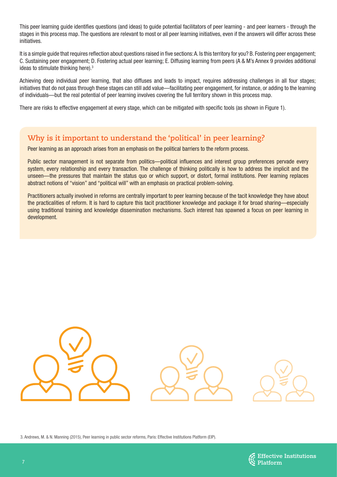This peer learning guide identifies questions (and ideas) to guide potential facilitators of peer learning - and peer learners - through the stages in this process map. The questions are relevant to most or all peer learning initiatives, even if the answers will differ across these initiatives.

It is a simple guide that requires reflection about questions raised in five sections: A. Is this territory for you? B. Fostering peer engagement; C. Sustaining peer engagement; D. Fostering actual peer learning; E. Diffusing learning from peers (A & M's Annex 9 provides additional ideas to stimulate thinking here).3

Achieving deep individual peer learning, that also diffuses and leads to impact, requires addressing challenges in all four stages; initiatives that do not pass through these stages can still add value—facilitating peer engagement, for instance, or adding to the learning of individuals—but the real potential of peer learning involves covering the full territory shown in this process map.

There are risks to effective engagement at every stage, which can be mitigated with specific tools (as shown in Figure 1).

#### **Why is it important to understand the 'political' in peer learning?**

Peer learning as an approach arises from an emphasis on the political barriers to the reform process.

Public sector management is not separate from politics—political influences and interest group preferences pervade every system, every relationship and every transaction. The challenge of thinking politically is how to address the implicit and the unseen—the pressures that maintain the status quo or which support, or distort, formal institutions. Peer learning replaces abstract notions of "vision" and "political will" with an emphasis on practical problem-solving.

Practitioners actually involved in reforms are centrally important to peer learning because of the tacit knowledge they have about the practicalities of reform. It is hard to capture this tacit practitioner knowledge and package it for broad sharing—especially using traditional training and knowledge dissemination mechanisms. Such interest has spawned a focus on peer learning in development.



3. Andrews, M. & N. Manning (2015), Peer learning in public sector reforms, Paris: Effective Institutions Platform (EIP).

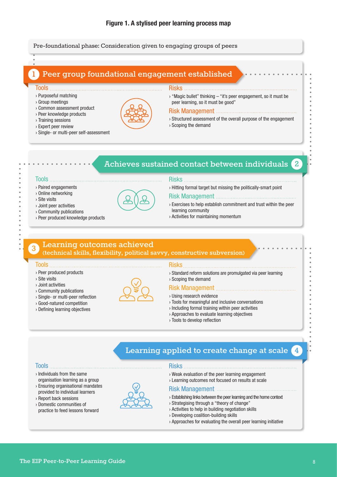Pre-foundational phase: Consideration given to engaging groups of peers



#### Tools

#### › Purposeful matching

- › Group meetings
- › Common assessment product
- › Peer knowledge products
- › Training sessions
- › Expert peer review
- 
- › Single- or multi-peer self-assessment

#### Risks ..

› "Magic bullet" thinking – "it's peer engagement, so it must be peer learning, so it must be good"

#### Risk Management

- › Structured assessment of the overall purpose of the engagement › Scoping the demand
- **Achieves sustained contact between individuals**

#### **Tools** ..........

#### › Paired engagements

- › Online networking
- › Site visits
- › Joint peer activities
- › Community publications
- › Peer produced knowledge products



#### Risks

#### › Hitting formal target but missing the politically-smart point

- Risk Management
- › Exercises to help establish commitment and trust within the peer learning community

**2**

**4**

› Activities for maintaining momentum

#### **Learning outcomes achieved (technical skills, flexibility, political savvy, constructive subversion) 3**

#### **Tools** .......................

- › Peer produced products
- › Site visits
- › Joint activities
- › Community publications
- › Single- or multi-peer reflection
- › Good-natured competition
- › Defining learning objectives



#### Risks

› Standard reform solutions are promulgated via peer learning › Scoping the demand

#### Risk Management

- › Using research evidence
- › Tools for meaningful and inclusive conversations
- › Including formal training within peer activities
- › Approaches to evaluate learning objectives

**Learning applied to create change at scale**

› Tools to develop reflection

#### Tools

- › Individuals from the same
- organisation learning as a group › Ensuring organisational mandates
- provided to individual learners › Report back sessions
- › Domestic communities of
- practice to feed lessons forward



#### Risks .....................

› Weak evaluation of the peer learning engagement

› Learning outcomes not focused on results at scale

#### Risk Management

- › Establishing links between the peer learning and the home context
- › Strategising through a "theory of change"
- › Activities to help in building negotiation skills
- › Developing coalition-building skills
- › Approaches for evaluating the overall peer learning initiative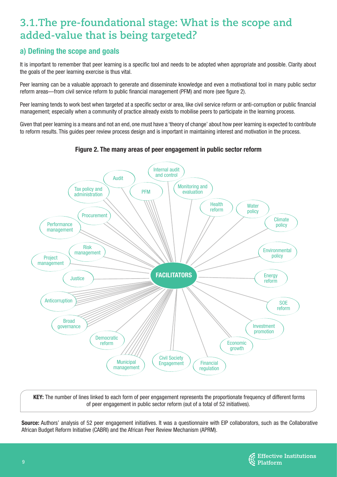# **3.1.The pre-foundational stage: What is the scope and added-value that is being targeted?**

### a) Defining the scope and goals

It is important to remember that peer learning is a specific tool and needs to be adopted when appropriate and possible. Clarity about the goals of the peer learning exercise is thus vital.

Peer learning can be a valuable approach to generate and disseminate knowledge and even a motivational tool in many public sector reform areas—from civil service reform to public financial management (PFM) and more (see figure 2).

Peer learning tends to work best when targeted at a specific sector or area, like civil service reform or anti-corruption or public financial management; especially when a community of practice already exists to mobilise peers to participate in the learning process.

Given that peer learning is a means and not an end, one must have a 'theory of change' about how peer learning is expected to contribute to reform results. This guides peer review process design and is important in maintaining interest and motivation in the process.

Figure 2. The many areas of peer engagement in public sector reform



KEY: The number of lines linked to each form of peer engagement represents the proportionate frequency of different forms of peer engagement in public sector reform (out of a total of 52 initiatives).

Source: Authors' analysis of 52 peer engagement initiatives. It was a questionnaire with EIP collaborators, such as the Collaborative African Budget Reform Initiative (CABRI) and the African Peer Review Mechanism (APRM).

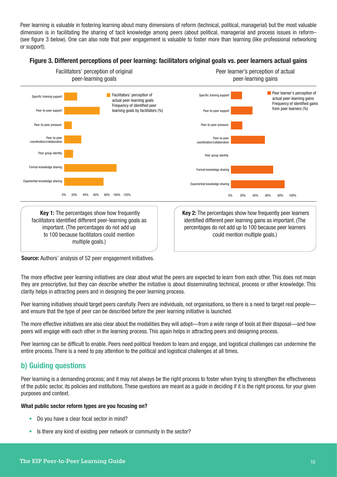Peer learning is valuable in fostering learning about many dimensions of reform (technical, political, managerial) but the most valuable dimension is in facilitating the sharing of tacit knowledge among peers (about political, managerial and process issues in reform– (see figure 3 below). One can also note that peer engagement is valuable to foster more than learning (like professional networking or support).



#### Figure 3. Different perceptions of peer learning: facilitators original goals vs. peer learners actual gains

Key 1: The percentages show how frequently facilitators identified different peer-learning goals as important. (The percentages do not add up to 100 because facilitators could mention multiple goals.)

Key 2: The percentages show how frequently peer learners identified different peer learning gains as important. (The percentages do not add up to 100 because peer learners could mention multiple goals.)

Source: Authors' analysis of 52 peer engagement initiatives.

The more effective peer learning initiatives are clear about what the peers are expected to learn from each other. This does not mean they are prescriptive, but they can describe whether the initiative is about disseminating technical, process or other knowledge. This clarity helps in attracting peers and in designing the peer learning process.

Peer learning initiatives should target peers carefully. Peers are individuals, not organisations, so there is a need to target real people and ensure that the type of peer can be described before the peer learning initiative is launched.

The more effective initiatives are also clear about the modalities they will adopt—from a wide range of tools at their disposal—and how peers will engage with each other in the learning process. This again helps in attracting peers and designing process.

Peer learning can be difficult to enable. Peers need political freedom to learn and engage, and logistical challenges can undermine the entire process. There is a need to pay attention to the political and logistical challenges at all times.

#### b) Guiding questions

Peer learning is a demanding process; and it may not always be the right process to foster when trying to strengthen the effectiveness of the public sector, its policies and institutions. These questions are meant as a guide in deciding if it is the right process, for your given purposes and context.

#### What public sector reform types are you focusing on?

- Do you have a clear focal sector in mind?
- Is there any kind of existing peer network or community in the sector?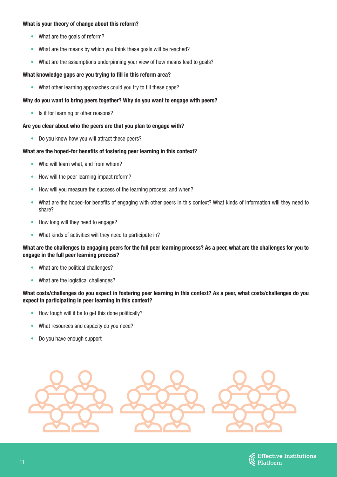#### What is your theory of change about this reform?

- What are the goals of reform?
- What are the means by which you think these goals will be reached?
- What are the assumptions underpinning your view of how means lead to goals?

#### What knowledge gaps are you trying to fill in this reform area?

• What other learning approaches could you try to fill these gaps?

#### Why do you want to bring peers together? Why do you want to engage with peers?

• Is it for learning or other reasons?

#### Are you clear about who the peers are that you plan to engage with?

• Do you know how you will attract these peers?

#### What are the hoped-for benefits of fostering peer learning in this context?

- Who will learn what, and from whom?
- How will the peer learning impact reform?
- How will you measure the success of the learning process, and when?
- What are the hoped-for benefits of engaging with other peers in this context? What kinds of information will they need to share?
- How long will they need to engage?
- What kinds of activities will they need to participate in?

#### What are the challenges to engaging peers for the full peer learning process? As a peer, what are the challenges for you to engage in the full peer learning process?

- What are the political challenges?
- What are the logistical challenges?

#### What costs/challenges do you expect in fostering peer learning in this context? As a peer, what costs/challenges do you expect in participating in peer learning in this context?

- How tough will it be to get this done politically?
- What resources and capacity do you need?
- Do you have enough support



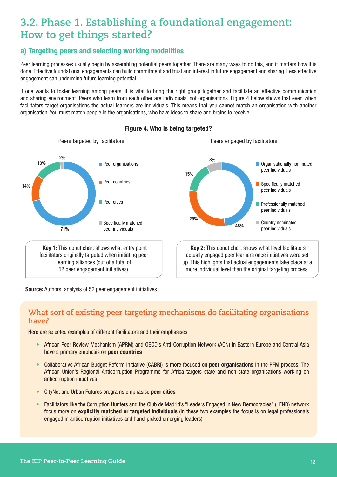# **3.2. Phase 1. Establishing a foundational engagement: How to get things started?**

#### a) Targeting peers and selecting working modalities

Peer learning processes usually begin by assembling potential peers together. There are many ways to do this, and it matters how it is done. Effective foundational engagements can build commitment and trust and interest in future engagement and sharing. Less effective engagement can undermine future learning potential.

If one wants to foster learning among peers, it is vital to bring the right group together and facilitate an effective communication and sharing environment. Peers who learn from each other are individuals, not organisations. Figure 4 below shows that even when facilitators target organisations the actual learners are individuals. This means that you cannot match an organisation with another organisation. You must match people in the organisations, who have ideas to share and brains to receive.



Figure 4. Who is being targeted?

Source: Authors' analysis of 52 peer engagement initiatives.

#### **What sort of existing peer targeting mechanisms do facilitating organisations have?**

Here are selected examples of different facilitators and their emphasises:

- African Peer Review Mechanism (APRM) and OECD's Anti-Corruption Network (ACN) in Eastern Europe and Central Asia have a primary emphasis on peer countries
- Collaborative African Budget Reform Initiative (CABRI) is more focused on **peer organisations** in the PFM process. The African Union's Regional Anticorruption Programme for Africa targets state and non-state organisations working on anticorruption initiatives
- CityNet and Urban Futures programs emphasise peer cities
- Facilitators like the Corruption Hunters and the Club de Madrid's "Leaders Engaged in New Democracies" (LEND) network focus more on explicitly matched or targeted individuals (in these two examples the focus is on legal professionals engaged in anticorruption initiatives and hand-picked emerging leaders)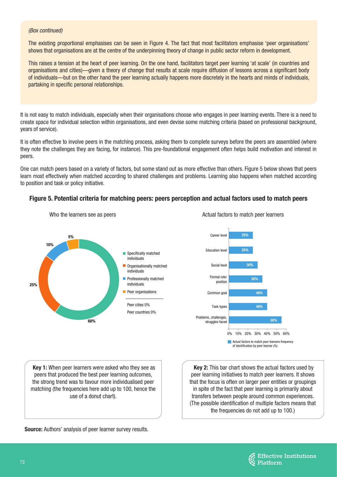#### *(Box continued)*

The existing proportional emphasises can be seen in Figure 4. The fact that most facilitators emphasise 'peer organisations' shows that organisations are at the centre of the underpinning theory of change in public sector reform in development.

This raises a tension at the heart of peer learning. On the one hand, facilitators target peer learning 'at scale' (in countries and organisations and cities)—given a theory of change that results at scale require diffusion of lessons across a significant body of individuals—but on the other hand the peer learning actually happens more discretely in the hearts and minds of individuals, partaking in specific personal relationships.

It is not easy to match individuals, especially when their organisations choose who engages in peer learning events. There is a need to create space for individual selection within organisations, and even devise some matching criteria (based on professional background, years of service).

It is often effective to involve peers in the matching process, asking them to complete surveys before the peers are assembled (where they note the challenges they are facing, for instance). This pre-foundational engagement often helps build motivation and interest in peers.

One can match peers based on a variety of factors, but some stand out as more effective than others. Figure 5 below shows that peers learn most effectively when matched according to shared challenges and problems. Learning also happens when matched according to position and task or policy initiative.

#### Figure 5. Potential criteria for matching peers: peers perception and actual factors used to match peers



Who the learners see as peers Actual factors to match peer learners Actual factors to match peer learners



Key 1: When peer learners were asked who they see as peers that produced the best peer learning outcomes, the strong trend was to favour more individualised peer matching (the frequencies here add up to 100, hence the use of a donut chart).

**Source:** Authors' analysis of peer learner survey results.

Key 2: This bar chart shows the actual factors used by peer learning initiatives to match peer learners. It shows that the focus is often on larger peer entities or groupings in spite of the fact that peer learning is primarily about transfers between people around common experiences. (The possible identification of multiple factors means that the frequencies do not add up to 100.)

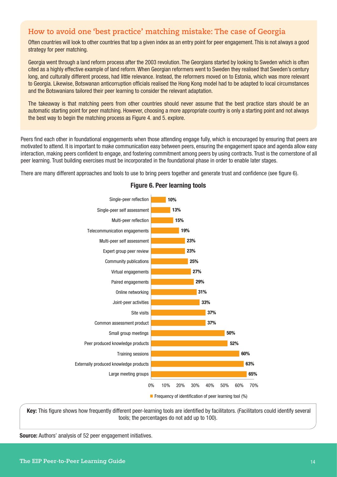#### **How to avoid one 'best practice' matching mistake: The case of Georgia**

Often countries will look to other countries that top a given index as an entry point for peer engagement. This is not always a good strategy for peer matching.

Georgia went through a land reform process after the 2003 revolution. The Georgians started by looking to Sweden which is often cited as a highly effective example of land reform. When Georgian reformers went to Sweden they realised that Sweden's century long, and culturally different process, had little relevance. Instead, the reformers moved on to Estonia, which was more relevant to Georgia. Likewise, Botswanan anticorruption officials realised the Hong Kong model had to be adapted to local circumstances and the Botswanians tailored their peer learning to consider the relevant adaptation.

The takeaway is that matching peers from other countries should never assume that the best practice stars should be an automatic starting point for peer matching. However, choosing a more appropriate country is only a starting point and not always the best way to begin the matching process as Figure 4. and 5. explore.

Peers find each other in foundational engagements when those attending engage fully, which is encouraged by ensuring that peers are motivated to attend. It is important to make communication easy between peers, ensuring the engagement space and agenda allow easy interaction, making peers confident to engage, and fostering commitment among peers by using contracts. Trust is the cornerstone of all peer learning. Trust building exercises must be incorporated in the foundational phase in order to enable later stages.

There are many different approaches and tools to use to bring peers together and generate trust and confidence (see figure 6).



#### Figure 6. Peer learning tools

Key: This figure shows how frequently different peer-learning tools are identified by facilitators. (Facilitators could identify several tools; the percentages do not add up to 100).

Source: Authors' analysis of 52 peer engagement initiatives.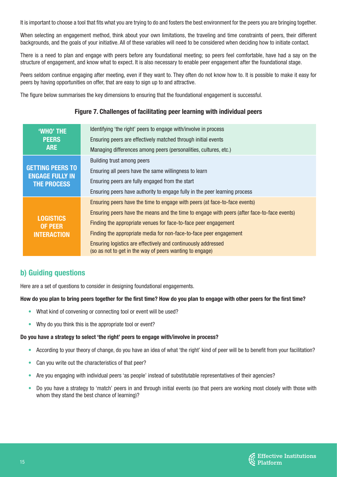It is important to choose a tool that fits what you are trying to do and fosters the best environment for the peers you are bringing together.

When selecting an engagement method, think about your own limitations, the traveling and time constraints of peers, their different backgrounds, and the goals of your initiative. All of these variables will need to be considered when deciding how to initiate contact.

There is a need to plan and engage with peers before any foundational meeting; so peers feel comfortable, have had a say on the structure of engagement, and know what to expect. It is also necessary to enable peer engagement after the foundational stage.

Peers seldom continue engaging after meeting, even if they want to. They often do not know how to. It is possible to make it easy for peers by having opportunities on offer, that are easy to sign up to and attractive.

The figure below summarises the key dimensions to ensuring that the foundational engagement is successful.

#### Figure 7. Challenges of facilitating peer learning with individual peers

| 'WHO' THE                                         | Identifying 'the right' peers to engage with/involve in process                                                           |
|---------------------------------------------------|---------------------------------------------------------------------------------------------------------------------------|
| <b>PEERS</b>                                      | Ensuring peers are effectively matched through initial events                                                             |
| <b>ARE</b>                                        | Managing differences among peers (personalities, cultures, etc.)                                                          |
|                                                   | Building trust among peers                                                                                                |
| <b>GETTING PEERS TO</b><br><b>ENGAGE FULLY IN</b> | Ensuring all peers have the same willingness to learn                                                                     |
| <b>THE PROCESS</b>                                | Ensuring peers are fully engaged from the start                                                                           |
|                                                   | Ensuring peers have authority to engage fully in the peer learning process                                                |
|                                                   | Ensuring peers have the time to engage with peers (at face-to-face events)                                                |
|                                                   | Ensuring peers have the means and the time to engage with peers (after face-to-face events)                               |
| <b>LOGISTICS</b><br><b>OF PEER</b>                | Finding the appropriate venues for face-to-face peer engagement                                                           |
| <b>INTERACTION</b>                                | Finding the appropriate media for non-face-to-face peer engagement                                                        |
|                                                   | Ensuring logistics are effectively and continuously addressed<br>(so as not to get in the way of peers wanting to engage) |

#### b) Guiding questions

Here are a set of questions to consider in designing foundational engagements.

#### How do you plan to bring peers together for the first time? How do you plan to engage with other peers for the first time?

- What kind of convening or connecting tool or event will be used?
- Why do you think this is the appropriate tool or event?

#### Do you have a strategy to select 'the right' peers to engage with/involve in process?

- According to your theory of change, do you have an idea of what 'the right' kind of peer will be to benefit from your facilitation?
- Can you write out the characteristics of that peer?
- Are you engaging with individual peers 'as people' instead of substitutable representatives of their agencies?
- Do you have a strategy to 'match' peers in and through initial events (so that peers are working most closely with those with whom they stand the best chance of learning)?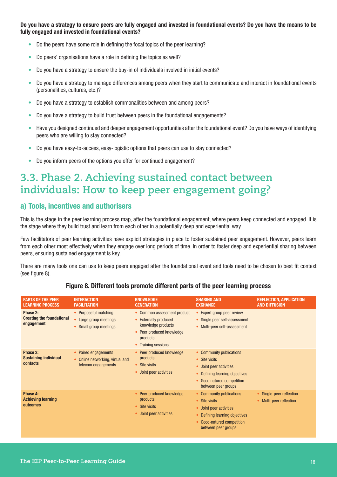Do you have a strategy to ensure peers are fully engaged and invested in foundational events? Do you have the means to be fully engaged and invested in foundational events?

- Do the peers have some role in defining the focal topics of the peer learning?
- Do peers' organisations have a role in defining the topics as well?
- Do you have a strategy to ensure the buy-in of individuals involved in initial events?
- Do you have a strategy to manage differences among peers when they start to communicate and interact in foundational events (personalities, cultures, etc.)?
- Do you have a strategy to establish commonalities between and among peers?
- Do you have a strategy to build trust between peers in the foundational engagements?
- Have you designed continued and deeper engagement opportunities after the foundational event? Do you have ways of identifying peers who are willing to stay connected?
- Do you have easy-to-access, easy-logistic options that peers can use to stay connected?
- Do you inform peers of the options you offer for continued engagement?

# **3.3. Phase 2. Achieving sustained contact between individuals: How to keep peer engagement going?**

#### a) Tools, incentives and authorisers

This is the stage in the peer learning process map, after the foundational engagement, where peers keep connected and engaged. It is the stage where they build trust and learn from each other in a potentially deep and experiential way.

Few facilitators of peer learning activities have explicit strategies in place to foster sustained peer engagement. However, peers learn from each other most effectively when they engage over long periods of time. In order to foster deep and experiential sharing between peers, ensuring sustained engagement is key.

There are many tools one can use to keep peers engaged after the foundational event and tools need to be chosen to best fit context (see figure 8).

| <b>PARTS OF THE PEER</b><br><b>LEARNING PROCESS</b>        | <b>INTERACTION</b><br><b>FACILITATION</b>                                                | <b>KNOWLEDGE</b><br><b>GENERATION</b>                                                                                                           | <b>SHARING AND</b><br><b>EXCHANGE</b>                                                                                                                     | <b>REFLECTION, APPLICATION</b><br><b>AND DIFFUSION</b> |
|------------------------------------------------------------|------------------------------------------------------------------------------------------|-------------------------------------------------------------------------------------------------------------------------------------------------|-----------------------------------------------------------------------------------------------------------------------------------------------------------|--------------------------------------------------------|
| Phase 2:<br><b>Creating the foundational</b><br>engagement | • Purposeful matching<br>Large group meetings<br>Small group meetings                    | • Common assessment product<br><b>Externally produced</b><br>knowledge products<br>• Peer produced knowledge<br>products<br>• Training sessions | Expert group peer review<br>$\bullet$<br>Single peer self-assessment<br>Multi-peer self-assessment                                                        |                                                        |
| Phase 3:<br><b>Sustaining individual</b><br>contacts       | Paired engagements<br>$\bullet$<br>Online networking, virtual and<br>telecom engagements | • Peer produced knowledge<br>products<br>• Site visits<br>• Joint peer activities                                                               | • Community publications<br>• Site visits<br>Joint peer activities<br>• Defining learning objectives<br>• Good natured competition<br>between peer groups |                                                        |
| Phase 4:<br><b>Achieving learning</b><br>outcomes          |                                                                                          | • Peer produced knowledge<br>products<br>• Site visits<br>• Joint peer activities                                                               | • Community publications<br>• Site visits<br>Joint peer activities<br>Defining learning objectives<br>Good-natured competition<br>between peer groups     | • Single-peer reflection<br>• Multi-peer reflection    |

#### Figure 8. Different tools promote different parts of the peer learning process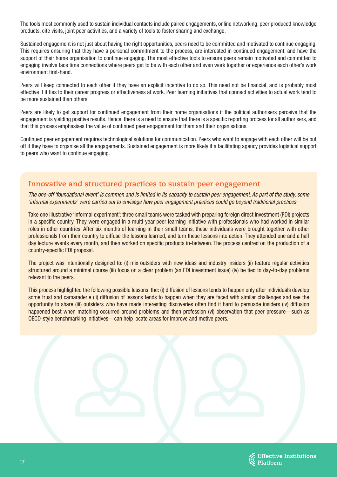The tools most commonly used to sustain individual contacts include paired engagements, online networking, peer produced knowledge products, cite visits, joint peer activities, and a variety of tools to foster sharing and exchange.

Sustained engagement is not just about having the right opportunities, peers need to be committed and motivated to continue engaging. This requires ensuring that they have a personal commitment to the process, are interested in continued engagement, and have the support of their home organisation to continue engaging. The most effective tools to ensure peers remain motivated and committed to engaging involve face time connections where peers get to be with each other and even work together or experience each other's work environment first-hand.

Peers will keep connected to each other if they have an explicit incentive to do so. This need not be financial, and is probably most effective if it ties to their career progress or effectiveness at work. Peer learning initiatives that connect activities to actual work tend to be more sustained than others.

Peers are likely to get support for continued engagement from their home organisations if the political authorisers perceive that the engagement is yielding positive results. Hence, there is a need to ensure that there is a specific reporting process for all authorisers, and that this process emphasises the value of continued peer engagement for them and their organisations.

Continued peer engagement requires technological solutions for communication. Peers who want to engage with each other will be put off if they have to organise all the engagements. Sustained engagement is more likely if a facilitating agency provides logistical support to peers who want to continue engaging.

#### **Innovative and structured practices to sustain peer engagement**

*The one-off 'foundational event' is common and is limited in its capacity to sustain peer engagement. As part of the study, some 'informal experiments' were carried out to envisage how peer engagement practices could go beyond traditional practices.* 

Take one illustrative 'informal experiment': three small teams were tasked with preparing foreign direct investment (FDI) projects in a specific country. They were engaged in a multi-year peer learning initiative with professionals who had worked in similar roles in other countries. After six months of learning in their small teams, these individuals were brought together with other professionals from their country to diffuse the lessons learned, and turn these lessons into action. They attended one and a half day lecture events every month, and then worked on specific products in-between. The process centred on the production of a country-specific FDI proposal.

The project was intentionally designed to: (i) mix outsiders with new ideas and industry insiders (ii) feature regular activities structured around a minimal course (iii) focus on a clear problem (an FDI investment issue) (iv) be tied to day-to-day problems relevant to the peers.

This process highlighted the following possible lessons, the: (i) diffusion of lessons tends to happen only after individuals develop some trust and camaraderie (ii) diffusion of lessons tends to happen when they are faced with similar challenges and see the opportunity to share (iii) outsiders who have made interesting discoveries often find it hard to persuade insiders (iv) diffusion happened best when matching occurred around problems and then profession (vi) observation that peer pressure—such as OECD-style benchmarking initiatives—can help locate areas for improve and motive peers.

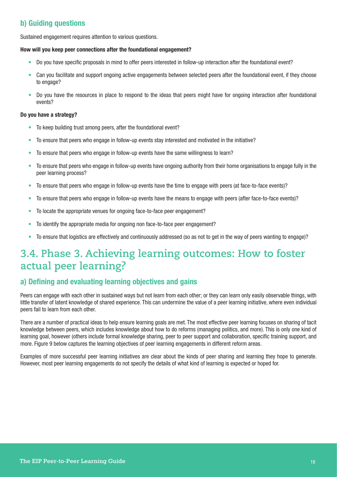#### b) Guiding questions

Sustained engagement requires attention to various questions.

#### How will you keep peer connections after the foundational engagement?

- Do you have specific proposals in mind to offer peers interested in follow-up interaction after the foundational event?
- Can you facilitate and support ongoing active engagements between selected peers after the foundational event, if they choose to engage?
- Do you have the resources in place to respond to the ideas that peers might have for ongoing interaction after foundational events?

#### Do you have a strategy?

- To keep building trust among peers, after the foundational event?
- To ensure that peers who engage in follow-up events stay interested and motivated in the initiative?
- To ensure that peers who engage in follow-up events have the same willingness to learn?
- To ensure that peers who engage in follow-up events have ongoing authority from their home organisations to engage fully in the peer learning process?
- To ensure that peers who engage in follow-up events have the time to engage with peers (at face-to-face events)?
- To ensure that peers who engage in follow-up events have the means to engage with peers (after face-to-face events)?
- To locate the appropriate venues for ongoing face-to-face peer engagement?
- To identify the appropriate media for ongoing non face-to-face peer engagement?
- To ensure that logistics are effectively and continuously addressed (so as not to get in the way of peers wanting to engage)?

# **3.4. Phase 3. Achieving learning outcomes: How to foster actual peer learning?**

#### a) Defining and evaluating learning objectives and gains

Peers can engage with each other in sustained ways but not learn from each other; or they can learn only easily observable things, with little transfer of latent knowledge of shared experience. This can undermine the value of a peer learning initiative, where even individual peers fail to learn from each other.

There are a number of practical ideas to help ensure learning goals are met. The most effective peer learning focuses on sharing of tacit knowledge between peers, which includes knowledge about how to do reforms (managing politics, and more). This is only one kind of learning goal, however (others include formal knowledge sharing, peer to peer support and collaboration, specific training support, and more. Figure 9 below captures the learning objectives of peer learning engagements in different reform areas.

Examples of more successful peer learning initiatives are clear about the kinds of peer sharing and learning they hope to generate. However, most peer learning engagements do not specify the details of what kind of learning is expected or hoped for.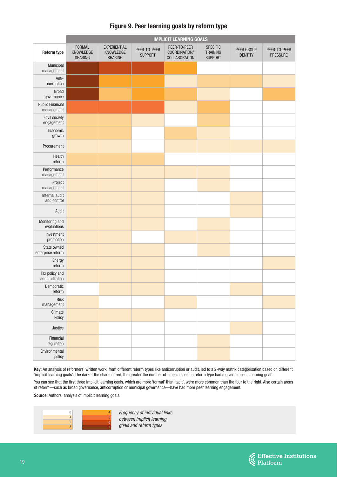|                                       | <b>IMPLICIT LEARNING GOALS</b>               |                                                    |                                |                                                |                                                      |                               |                                 |
|---------------------------------------|----------------------------------------------|----------------------------------------------------|--------------------------------|------------------------------------------------|------------------------------------------------------|-------------------------------|---------------------------------|
| <b>Reform type</b>                    | <b>FORMAL</b><br>KNOWLEDGE<br><b>SHARING</b> | <b>EXPERIENTIAL</b><br>KNOWLEDGE<br><b>SHARING</b> | PEER-TO-PEER<br><b>SUPPORT</b> | PEER-TO-PEER<br>COORDINATION/<br>COLLABORATION | <b>SPECIFIC</b><br><b>TRAINING</b><br><b>SUPPORT</b> | PEER GROUP<br><b>IDENTITY</b> | PEER-TO-PEER<br><b>PRESSURE</b> |
| Municipal<br>management               |                                              |                                                    |                                |                                                |                                                      |                               |                                 |
| Anti-<br>corruption                   |                                              |                                                    |                                |                                                |                                                      |                               |                                 |
| <b>Broad</b><br>governance            |                                              |                                                    |                                |                                                |                                                      |                               |                                 |
| <b>Public Financial</b><br>management |                                              |                                                    |                                |                                                |                                                      |                               |                                 |
| Civil society<br>engagement           |                                              |                                                    |                                |                                                |                                                      |                               |                                 |
| Economic<br>growth                    |                                              |                                                    |                                |                                                |                                                      |                               |                                 |
| Procurement                           |                                              |                                                    |                                |                                                |                                                      |                               |                                 |
| Health<br>reform                      |                                              |                                                    |                                |                                                |                                                      |                               |                                 |
| Performance<br>management             |                                              |                                                    |                                |                                                |                                                      |                               |                                 |
| Project<br>management                 |                                              |                                                    |                                |                                                |                                                      |                               |                                 |
| Internal audit<br>and control         |                                              |                                                    |                                |                                                |                                                      |                               |                                 |
| Audit                                 |                                              |                                                    |                                |                                                |                                                      |                               |                                 |
| Monitoring and<br>evaluations         |                                              |                                                    |                                |                                                |                                                      |                               |                                 |
| Investment<br>promotion               |                                              |                                                    |                                |                                                |                                                      |                               |                                 |
| State owned<br>enterprise reform      |                                              |                                                    |                                |                                                |                                                      |                               |                                 |
| Energy<br>reform                      |                                              |                                                    |                                |                                                |                                                      |                               |                                 |
| Tax policy and<br>administration      |                                              |                                                    |                                |                                                |                                                      |                               |                                 |
| Democratic<br>reform                  |                                              |                                                    |                                |                                                |                                                      |                               |                                 |
| Risk<br>management                    |                                              |                                                    |                                |                                                |                                                      |                               |                                 |
| Climate<br>Policy                     |                                              |                                                    |                                |                                                |                                                      |                               |                                 |
| Justice                               |                                              |                                                    |                                |                                                |                                                      |                               |                                 |
| Financial<br>regulation               |                                              |                                                    |                                |                                                |                                                      |                               |                                 |
| Environmental<br>policy               |                                              |                                                    |                                |                                                |                                                      |                               |                                 |

#### Figure 9. Peer learning goals by reform type

Key: An analysis of reformers' written work, from different reform types like anticorruption or audit, led to a 2-way matrix categorisation based on different 'implicit learning goals'. The darker the shade of red, the greater the number of times a specific reform type had a given 'implicit learning goal'.

You can see that the first three implicit learning goals, which are more 'formal' than 'tacit', were more common than the four to the right. Also certain areas of reform—such as broad governance, anticorruption or municipal governance—have had more peer learning engagement.

Source: Authors' analysis of implicit learning goals.



*Frequency of individual links between implicit learning goals and reform types*

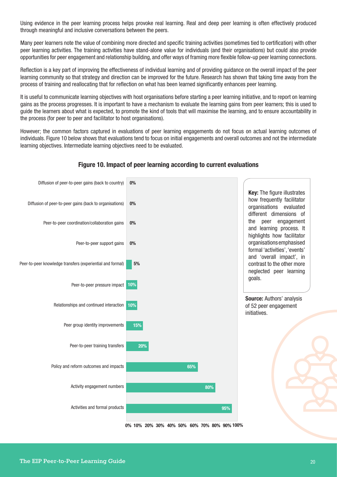Using evidence in the peer learning process helps provoke real learning. Real and deep peer learning is often effectively produced through meaningful and inclusive conversations between the peers.

Many peer learners note the value of combining more directed and specific training activities (sometimes tied to certification) with other peer learning activities. The training activities have stand-alone value for individuals (and their organisations) but could also provide opportunities for peer engagement and relationship building, and offer ways of framing more flexible follow-up peer learning connections.

Reflection is a key part of improving the effectiveness of individual learning and of providing guidance on the overall impact of the peer learning community so that strategy and direction can be improved for the future. Research has shown that taking time away from the process of training and reallocating that for reflection on what has been learned significantly enhances peer learning.

It is useful to communicate learning objectives with host organisations before starting a peer learning initiative, and to report on learning gains as the process progresses. It is important to have a mechanism to evaluate the learning gains from peer learners; this is used to guide the learners about what is expected, to promote the kind of tools that will maximise the learning, and to ensure accountability in the process (for peer to peer and facilitator to host organisations).

However; the common factors captured in evaluations of peer learning engagements do not focus on actual learning outcomes of individuals. Figure 10 below shows that evaluations tend to focus on initial engagements and overall outcomes and not the intermediate learning objectives. Intermediate learning objectives need to be evaluated.



#### Figure 10. Impact of peer learning according to current evaluations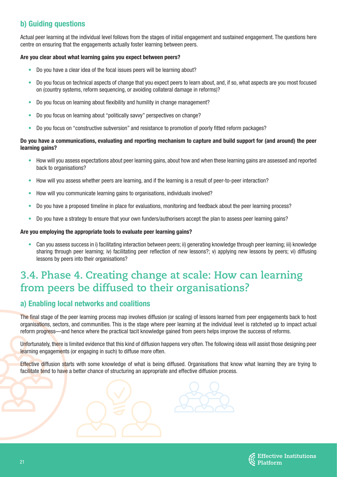#### b) Guiding questions

Actual peer learning at the individual level follows from the stages of initial engagement and sustained engagement. The questions here centre on ensuring that the engagements actually foster learning between peers.

#### Are you clear about what learning gains you expect between peers?

- Do you have a clear idea of the focal issues peers will be learning about?
- Do you focus on technical aspects of change that you expect peers to learn about, and, if so, what aspects are you most focused on (country systems, reform sequencing, or avoiding collateral damage in reforms)?
- Do you focus on learning about flexibility and humility in change management?
- Do you focus on learning about "politically savvy" perspectives on change?
- Do you focus on "constructive subversion" and resistance to promotion of poorly fitted reform packages?

#### Do you have a communications, evaluating and reporting mechanism to capture and build support for (and around) the peer learning gains?

- How will you assess expectations about peer learning gains, about how and when these learning gains are assessed and reported back to organisations?
- How will you assess whether peers are learning, and if the learning is a result of peer-to-peer interaction?
- How will you communicate learning gains to organisations, individuals involved?
- Do you have a proposed timeline in place for evaluations, monitoring and feedback about the peer learning process?
- Do you have a strategy to ensure that your own funders/authorisers accept the plan to assess peer learning gains?

#### Are you employing the appropriate tools to evaluate peer learning gains?

• Can you assess success in i) facilitating interaction between peers; ii) generating knowledge through peer learning; iii) knowledge sharing through peer learning; iv) facilitating peer reflection of new lessons?; v) applying new lessons by peers; vi) diffusing lessons by peers into their organisations?

# **3.4. Phase 4. Creating change at scale: How can learning from peers be diffused to their organisations?**

#### a) Enabling local networks and coalitions

The final stage of the peer learning process map involves diffusion (or scaling) of lessons learned from peer engagements back to host organisations, sectors, and communities. This is the stage where peer learning at the individual level is ratcheted up to impact actual reform progress—and hence where the practical tacit knowledge gained from peers helps improve the success of reforms.

Unfortunately, there is limited evidence that this kind of diffusion happens very often. The following ideas will assist those designing peer learning engagements (or engaging in such) to diffuse more often.

Effective diffusion starts with some knowledge of what is being diffused. Organisations that know what learning they are trying to facilitate tend to have a better chance of structuring an appropriate and effective diffusion process.

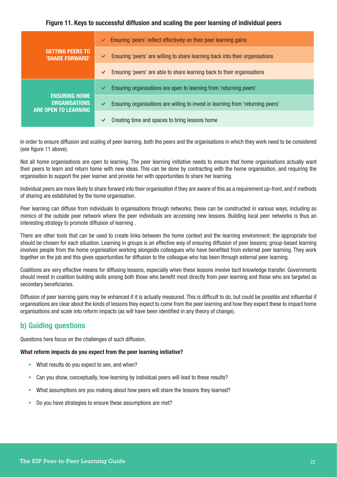#### Figure 11. Keys to successful diffusion and scaling the peer learning of individual peers

|                                                                             | Ensuring 'peers' reflect effectively on their peer learning gains               |
|-----------------------------------------------------------------------------|---------------------------------------------------------------------------------|
| <b>GETTING PEERS TO</b><br><b>'SHARE FORWARD'</b>                           | Ensuring 'peers' are willing to share learning back into their organisations    |
|                                                                             | Ensuring 'peers' are able to share learning back to their organisations<br>✔    |
|                                                                             | Ensuring organisations are open to learning from 'returning peers'              |
| <b>ENSURING HOME</b><br><b>ORGANISATIONS</b><br><b>ARE OPEN TO LEARNING</b> | Ensuring organisations are willing to invest in learning from 'returning peers' |
|                                                                             | Creating time and spaces to bring lessons home                                  |

In order to ensure diffusion and scaling of peer learning, both the peers and the organisations in which they work need to be considered (see figure 11 above).

Not all home organisations are open to learning. The peer learning initiative needs to ensure that home organisations actually want their peers to learn and return home with new ideas. This can be done by contracting with the home organisation, and requiring the organisation to support the peer learner and provide her with opportunities to share her learning.

Individual peers are more likely to share forward into their organisation if they are aware of this as a requirement up-front, and if methods of sharing are established by the home organisation.

Peer learning can diffuse from individuals to organisations through networks; these can be constructed in various ways, including as mimics of the outside peer network where the peer individuals are accessing new lessons. Building local peer networks is thus an interesting strategy to promote diffusion of learning .

There are other tools that can be used to create links between the home context and the learning environment; the appropriate tool should be chosen for each situation. Learning in groups is an effective way of ensuring diffusion of peer lessons; group-based learning involves people from the home organisation working alongside colleagues who have benefited from external peer learning. They work together on the job and this gives opportunities for diffusion to the colleague who has been through external peer learning.

Coalitions are very effective means for diffusing lessons, especially when these lessons involve tacit knowledge transfer. Governments should invest in coalition building skills among both those who benefit most directly from peer learning and those who are targeted as secondary beneficiaries.

Diffusion of peer learning gains may be enhanced if it is actually measured. This is difficult to do, but could be possible and influential if organisations are clear about the kinds of lessons they expect to come from the peer learning and how they expect these to impact home organisations and scale into reform impacts (as will have been identified in any theory of change).

#### b) Guiding questions

Questions here focus on the challenges of such diffusion.

#### What reform impacts do you expect from the peer learning initiative?

- What results do you expect to see, and when?
- Can you show, conceptually, how learning by individual peers will lead to these results?
- What assumptions are you making about how peers will share the lessons they learned?
- Do you have strategies to ensure these assumptions are met?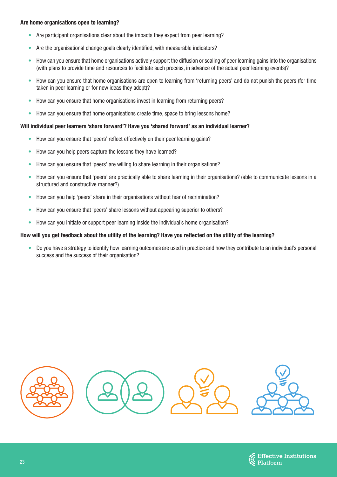#### Are home organisations open to learning?

- Are participant organisations clear about the impacts they expect from peer learning?
- Are the organisational change goals clearly identified, with measurable indicators?
- How can you ensure that home organisations actively support the diffusion or scaling of peer learning gains into the organisations (with plans to provide time and resources to facilitate such process, in advance of the actual peer learning events)?
- How can you ensure that home organisations are open to learning from 'returning peers' and do not punish the peers (for time taken in peer learning or for new ideas they adopt)?
- How can you ensure that home organisations invest in learning from returning peers?
- How can you ensure that home organisations create time, space to bring lessons home?

#### Will individual peer learners 'share forward'? Have you 'shared forward' as an individual learner?

- How can you ensure that 'peers' reflect effectively on their peer learning gains?
- How can you help peers capture the lessons they have learned?
- How can you ensure that 'peers' are willing to share learning in their organisations?
- How can you ensure that 'peers' are practically able to share learning in their organisations? (able to communicate lessons in a structured and constructive manner?)
- How can you help 'peers' share in their organisations without fear of recrimination?
- How can you ensure that 'peers' share lessons without appearing superior to others?
- How can you initiate or support peer learning inside the individual's home organisation?

#### How will you get feedback about the utility of the learning? Have you reflected on the utility of the learning?

• Do you have a strategy to identify how learning outcomes are used in practice and how they contribute to an individual's personal success and the success of their organisation?



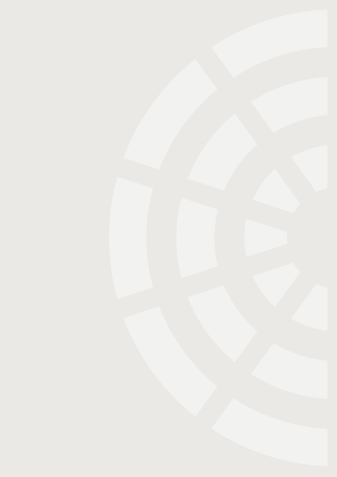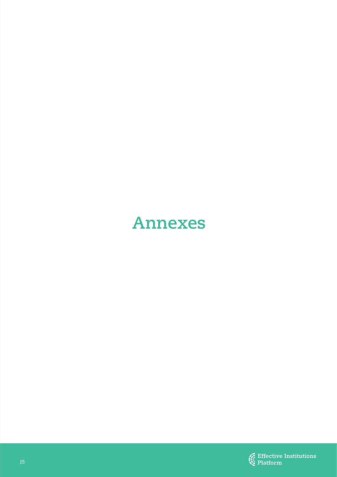# Effective Institutions<br> **Effective Institutions Annexes**

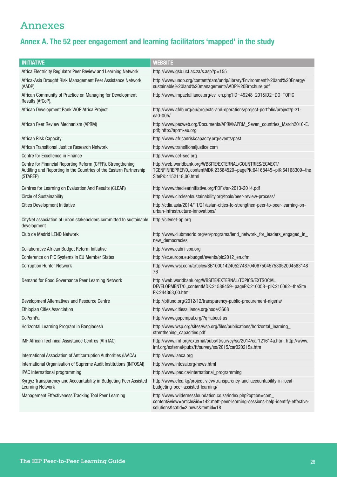# **Annexes**

# Annex A. The 52 peer engagement and learning facilitators 'mapped' in the study

| <b>INITIATIVE</b>                                                                                                                             | <b>WEBSITE</b>                                                                                                                                                                      |
|-----------------------------------------------------------------------------------------------------------------------------------------------|-------------------------------------------------------------------------------------------------------------------------------------------------------------------------------------|
| Africa Electricity Regulator Peer Review and Learning Network                                                                                 | http://www.gsb.uct.ac.za/s.asp?p=155                                                                                                                                                |
| Africa-Asia Drought Risk Management Peer Assistance Network<br>(AADP)                                                                         | http://www.undp.org/content/dam/undp/library/Environment%20and%20Energy/<br>sustainable%20land%20management/AADP%20Brochure.pdf                                                     |
| African Community of Practice on Managing for Development<br>Results (AfCoP),                                                                 | http://www.impactalliance.org/ev_en.php?ID=49248_201&ID2=D0_TOPIC                                                                                                                   |
| African Development Bank WOP Africa Project                                                                                                   | http://www.afdb.org/en/projects-and-operations/project-portfolio/project/p-z1-<br>ea0-005/                                                                                          |
| African Peer Review Mechanism (APRM)                                                                                                          | http://www.pacweb.org/Documents/APRM/APRM_Seven_countries_March2010-E.<br>pdf; http://aprm-au.org                                                                                   |
| <b>African Risk Capacity</b>                                                                                                                  | http://www.africanriskcapacity.org/events/past                                                                                                                                      |
| African Transitional Justice Research Network                                                                                                 | http://www.transitionaljustice.com                                                                                                                                                  |
| Centre for Excellence in Finance                                                                                                              | http://www.cef-see.org                                                                                                                                                              |
| Centre for Financial Reporting Reform (CFFR), Strengthening<br>Auditing and Reporting in the Countries of the Eastern Partnership<br>(STAREP) | http://web.worldbank.org/WBSITE/EXTERNAL/COUNTRIES/ECAEXT/<br>TCENFINREPREF/0,,contentMDK:23584520~pagePK:64168445~piK:64168309~the<br>SitePK:4152118,00.html                       |
| Centres for Learning on Evaluation And Results (CLEAR)                                                                                        | http://www.theclearinitiative.org/PDFs/ar-2013-2014.pdf                                                                                                                             |
| <b>Circle of Sustainability</b>                                                                                                               | http://www.circlesofsustainability.org/tools/peer-review-process/                                                                                                                   |
| <b>Cities Development Initiative</b>                                                                                                          | http://cdia.asia/2014/11/21/asian-cities-to-strengthen-peer-to-peer-learning-on-<br>urban-infrastructure-innovations/                                                               |
| CityNet association of urban stakeholders committed to sustainable<br>development                                                             | http://citynet-ap.org                                                                                                                                                               |
| Club de Madrid LEND Network                                                                                                                   | http://www.clubmadrid.org/en/programa/lend_network_for_leaders_engaged_in_<br>new_democracies                                                                                       |
| <b>Collaborative African Budget Reform Initiative</b>                                                                                         | http://www.cabri-sbo.org                                                                                                                                                            |
| Conference on PIC Systems in EU Member States                                                                                                 | http://ec.europa.eu/budget/events/pic2012_en.cfm                                                                                                                                    |
| <b>Corruption Hunter Network</b>                                                                                                              | http://www.wsj.com/articles/SB100014240527487040675045753052004563148<br>76                                                                                                         |
| Demand for Good Governance Peer Learning Network                                                                                              | http://web.worldbank.org/WBSITE/EXTERNAL/TOPICS/EXTSOCIAL<br>DEVELOPMENT/0,,contentMDK:21589459~pagePK:210058~piK:210062~theSite<br>PK:244363,00.html                               |
| Development Alternatives and Resource Centre                                                                                                  | http://ptfund.org/2012/12/transparency-public-procurement-nigeria/                                                                                                                  |
| <b>Ethiopian Cities Association</b>                                                                                                           | http://www.citiesalliance.org/node/3668                                                                                                                                             |
| GoPemPal                                                                                                                                      | http://www.gopempal.org/?q=about-us                                                                                                                                                 |
| Horizontal Learning Program in Bangladesh                                                                                                     | http://www.wsp.org/sites/wsp.org/files/publications/horizontal_learning_<br>strenthening_capacities.pdf                                                                             |
| <b>IMF African Technical Assistance Centres (AfriTAC)</b>                                                                                     | http://www.imf.org/external/pubs/ft/survey/so/2014/car121614a.htm; http://www.<br>imf.org/external/pubs/ft/survey/so/2015/car020215a.htm                                            |
| International Association of Anticorruption Authorities (IAACA)                                                                               | http://www.iaaca.org                                                                                                                                                                |
| International Organisation of Supreme Audit Institutions (INTOSAI)                                                                            | http://www.intosai.org/news.html                                                                                                                                                    |
| IPAC International programming                                                                                                                | http://www.ipac.ca/international_programming                                                                                                                                        |
| Kyrgyz Transparency and Accountability in Budgeting Peer Assisted<br><b>Learning Network</b>                                                  | http://www.efca.kg/project-view/transparency-and-accountability-in-local-<br>budgeting-peer-assisted-learning/                                                                      |
| Management Effectiveness Tracking Tool Peer Learning                                                                                          | http://www.wildernessfoundation.co.za/index.php?option=com_<br>content&view=article&id=142:mett-peer-learning-sessions-help-identify-effective-<br>solutions&catid=2:news&Itemid=18 |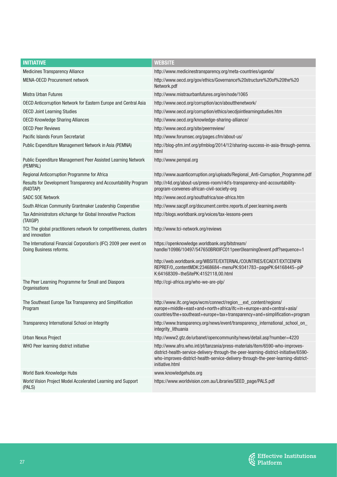| <b>INITIATIVE</b>                                                                             | <b>WEBSITE</b>                                                                                                                                                                                                                                                              |
|-----------------------------------------------------------------------------------------------|-----------------------------------------------------------------------------------------------------------------------------------------------------------------------------------------------------------------------------------------------------------------------------|
| <b>Medicines Transparency Alliance</b>                                                        | http://www.medicinestransparency.org/meta-countries/uganda/                                                                                                                                                                                                                 |
| <b>MENA-OECD Procurement network</b>                                                          | http://www.oecd.org/gov/ethics/Governance%20structure%20of%20the%20<br>Network.pdf                                                                                                                                                                                          |
| <b>Mistra Urban Futures</b>                                                                   | http://www.mistraurbanfutures.org/en/node/1065                                                                                                                                                                                                                              |
| OECD Anticorruption Network for Eastern Europe and Central Asia                               | http://www.oecd.org/corruption/acn/aboutthenetwork/                                                                                                                                                                                                                         |
| <b>OECD Joint Learning Studies</b>                                                            | http://www.oecd.org/corruption/ethics/oecdjointlearningstudies.htm                                                                                                                                                                                                          |
| <b>OECD Knowledge Sharing Alliances</b>                                                       | http://www.oecd.org/knowledge-sharing-alliance/                                                                                                                                                                                                                             |
| <b>OECD Peer Reviews</b>                                                                      | http://www.oecd.org/site/peerreview/                                                                                                                                                                                                                                        |
| Pacific Islands Forum Secretariat                                                             | http://www.forumsec.org/pages.cfm/about-us/                                                                                                                                                                                                                                 |
| Public Expenditure Management Network in Asia (PEMNA)                                         | http://blog-pfm.imf.org/pfmblog/2014/12/sharing-success-in-asia-through-pemna.<br>html                                                                                                                                                                                      |
| Public Expenditure Management Peer Assisted Learning Network<br>(PEMPAL)                      | http://www.pempal.org                                                                                                                                                                                                                                                       |
| Regional Anticorruption Programme for Africa                                                  | http://www.auanticorruption.org/uploads/Regional_Anti-Corruption_Programme.pdf                                                                                                                                                                                              |
| Results for Development Transparency and Accountability Program<br>(R4DTAP)                   | http://r4d.org/about-us/press-room/r4d's-transparency-and-accountability-<br>program-convenes-african-civil-society-org                                                                                                                                                     |
| <b>SADC SOE Network</b>                                                                       | http://www.oecd.org/southafrica/soe-africa.htm                                                                                                                                                                                                                              |
| South African Community Grantmaker Leadership Cooperative                                     | http://www.sacglf.org/document.centre.reports.of.peer.learning.events                                                                                                                                                                                                       |
| Tax Administrators eXchange for Global Innovative Practices<br>(TAXGIP)                       | http://blogs.worldbank.org/voices/tax-lessons-peers                                                                                                                                                                                                                         |
| TCI: The global practitioners network for competitiveness, clusters<br>and innovation         | http://www.tci-network.org/reviews                                                                                                                                                                                                                                          |
| The International Financial Corporation's (IFC) 2009 peer event on<br>Doing Business reforms. | https://openknowledge.worldbank.org/bitstream/<br>handle/10986/10497/547650BRI0IFC011peer0learning0event.pdf?sequence=1                                                                                                                                                     |
|                                                                                               | http://web.worldbank.org/WBSITE/EXTERNAL/COUNTRIES/ECAEXT/EXTCENFIN<br>REPREF/0,,contentMDK:23468684~menuPK:9341783~pagePK:64168445~piP<br>K:64168309~theSitePK:4152118,00.html                                                                                             |
| The Peer Learning Programme for Small and Diaspora<br>Organisations                           | http://cgi-africa.org/who-we-are-plp/                                                                                                                                                                                                                                       |
| The Southeast Europe Tax Transparency and Simplification<br>Program                           | http://www.ifc.org/wps/wcm/connect/region_ext_content/regions/<br>europe+middle+east+and+north+africa/ifc+in+europe+and+central+asia/<br>countries/the+southeast+europe+tax+transparency+and+simplification+program                                                         |
| Transparency International School on Integrity                                                | http://www.transparency.org/news/event/transparency_international_school_on_<br>integrity_lithuania                                                                                                                                                                         |
| Urban Nexus Project                                                                           | http://www2.gtz.de/urbanet/opencommunity/news/detail.asp?number=4220                                                                                                                                                                                                        |
| WHO Peer learning district initiative                                                         | http://www.afro.who.int/pt/tanzania/press-materials/item/6590-who-improves-<br>district-health-service-delivery-through-the-peer-learning-district-initiative/6590-<br>who-improves-district-health-service-delivery-through-the-peer-learning-district-<br>initiative.html |
| World Bank Knowledge Hubs                                                                     | www.knowledgehubs.org                                                                                                                                                                                                                                                       |
| World Vision Project Model Accelerated Learning and Support<br>(PALS)                         | https://www.worldvision.com.au/Libraries/SEED_page/PALS.pdf                                                                                                                                                                                                                 |

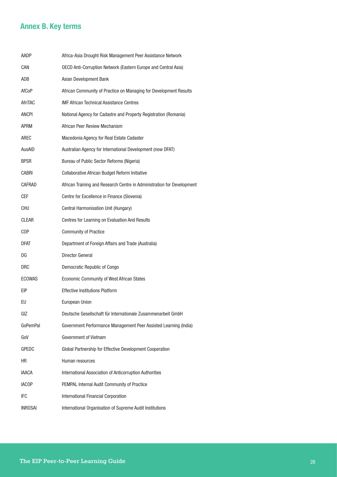## Annex B. Key terms

| aadp           | Africa-Asia Drought Risk Management Peer Assistance Network            |
|----------------|------------------------------------------------------------------------|
| CAN            | OECD Anti-Corruption Network (Eastern Europe and Central Asia)         |
| ADB            | Asian Development Bank                                                 |
| AfCoP          | African Community of Practice on Managing for Development Results      |
| AfriTAC        | <b>IMF African Technical Assistance Centres</b>                        |
| ANCPI          | National Agency for Cadastre and Property Registration (Romania)       |
| <b>APRM</b>    | African Peer Review Mechanism                                          |
| AREC           | Macedonia Agency for Real Estate Cadaster                              |
| AusAID         | Australian Agency for International Development (now DFAT)             |
| <b>BPSR</b>    | Bureau of Public Sector Reforms (Nigeria)                              |
| <b>CABRI</b>   | Collaborative African Budget Reform Initiative                         |
| CAFRAD         | African Training and Research Centre in Administration for Development |
| <b>CEF</b>     | Centre for Excellence in Finance (Slovenia)                            |
| <b>CHU</b>     | Central Harmonisation Unit (Hungary)                                   |
| <b>CLEAR</b>   | Centres for Learning on Evaluation And Results                         |
| COP            | <b>Community of Practice</b>                                           |
| DFAT           | Department of Foreign Affairs and Trade (Australia)                    |
| DG             | <b>Director General</b>                                                |
| <b>DRC</b>     | Democratic Republic of Congo                                           |
| <b>ECOWAS</b>  | <b>Economic Community of West African States</b>                       |
| EIP            | <b>Effective Institutions Platform</b>                                 |
| EU             | European Union                                                         |
| GIZ            | Deutsche Gesellschaft für Internationale Zusammenarbeit GmbH           |
| GoPemPal       | Government Performance Management Peer Assisted Learning (India)       |
| GoV            | Government of Vietnam                                                  |
| <b>GPEDC</b>   | Global Partnership for Effective Development Cooperation               |
| HR             | Human resources                                                        |
| <b>IAACA</b>   | International Association of Anticorruption Authorities                |
| <b>IACOP</b>   | PEMPAL Internal Audit Community of Practice                            |
| IFC            | <b>International Financial Corporation</b>                             |
| <b>INROSAI</b> | International Organisation of Supreme Audit Institutions               |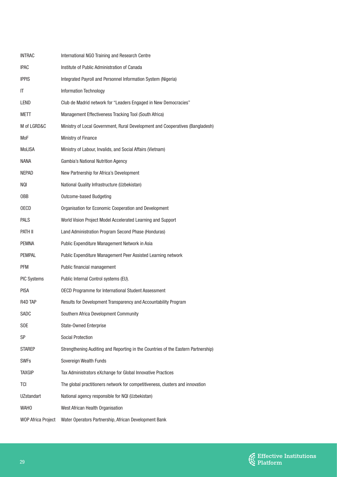| <b>INTRAC</b>             | International NGO Training and Research Centre                                    |
|---------------------------|-----------------------------------------------------------------------------------|
| <b>IPAC</b>               | Institute of Public Administration of Canada                                      |
| <b>IPPIS</b>              | Integrated Payroll and Personnel Information System (Nigeria)                     |
| IT                        | <b>Information Technology</b>                                                     |
| LEND                      | Club de Madrid network for "Leaders Engaged in New Democracies"                   |
| <b>METT</b>               | Management Effectiveness Tracking Tool (South Africa)                             |
| M of LGRD&C               | Ministry of Local Government, Rural Development and Cooperatives (Bangladesh)     |
| MoF                       | Ministry of Finance                                                               |
| MoLISA                    | Ministry of Labour, Invalids, and Social Affairs (Vietnam)                        |
| NANA                      | <b>Gambia's National Nutrition Agency</b>                                         |
| NEPAD                     | New Partnership for Africa's Development                                          |
| NQI                       | National Quality Infrastructure (Uzbekistan)                                      |
| 0BB                       | Outcome-based Budgeting                                                           |
| <b>OECD</b>               | Organisation for Economic Cooperation and Development                             |
| <b>PALS</b>               | World Vision Project Model Accelerated Learning and Support                       |
| PATH II                   | Land Administration Program Second Phase (Honduras)                               |
| PEMNA                     | Public Expenditure Management Network in Asia                                     |
| PEMPAL                    | Public Expenditure Management Peer Assisted Learning network                      |
| <b>PFM</b>                | Public financial management                                                       |
| <b>PIC Systems</b>        | Public Internal Control systems (EU).                                             |
| <b>PISA</b>               | OECD Programme for International Student Assessment                               |
| R4D TAP                   | Results for Development Transparency and Accountability Program                   |
| SADC                      | Southern Africa Development Community                                             |
| S <sub>OE</sub>           | <b>State-Owned Enterprise</b>                                                     |
| SP                        | <b>Social Protection</b>                                                          |
| <b>STAREP</b>             | Strengthening Auditing and Reporting in the Countries of the Eastern Partnership) |
| <b>SWFs</b>               | Sovereign Wealth Funds                                                            |
| <b>TAXGIP</b>             | Tax Administrators eXchange for Global Innovative Practices                       |
| TCI                       | The global practitioners network for competitiveness, clusters and innovation     |
| <b>UZstandart</b>         | National agency responsible for NQI (Uzbekistan)                                  |
| <b>WAHO</b>               | West African Health Organisation                                                  |
| <b>WOP Africa Project</b> | Water Operators Partnership, African Development Bank                             |

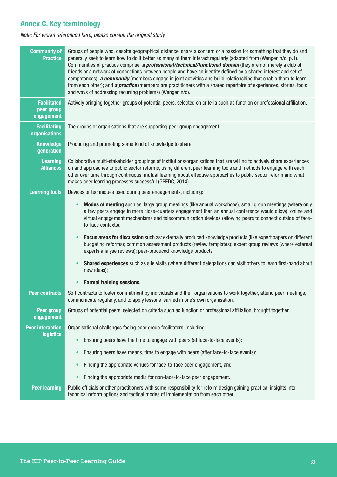# Annex C. Key terminology

*Note: For works referenced here, please consult the original study.*

| <b>Community of</b><br><b>Practice</b>         | Groups of people who, despite geographical distance, share a concern or a passion for something that they do and<br>generally seek to learn how to do it better as many of them interact regularly (adapted from (Wenger, n/d, p.1).<br>Communities of practice comprise: a professional/technical/functional domain (they are not merely a club of<br>friends or a network of connections between people and have an identity defined by a shared interest and set of<br>competences); a community (members engage in joint activities and build relationships that enable them to learn<br>from each other); and a practice (members are practitioners with a shared repertoire of experiences, stories, tools<br>and ways of addressing recurring problems) (Wenger, n/d).                                                                            |
|------------------------------------------------|----------------------------------------------------------------------------------------------------------------------------------------------------------------------------------------------------------------------------------------------------------------------------------------------------------------------------------------------------------------------------------------------------------------------------------------------------------------------------------------------------------------------------------------------------------------------------------------------------------------------------------------------------------------------------------------------------------------------------------------------------------------------------------------------------------------------------------------------------------|
| <b>Facilitated</b><br>peer group<br>engagement | Actively bringing together groups of potential peers, selected on criteria such as function or professional affiliation.                                                                                                                                                                                                                                                                                                                                                                                                                                                                                                                                                                                                                                                                                                                                 |
| <b>Facilitating</b><br>organisations           | The groups or organisations that are supporting peer group engagement.                                                                                                                                                                                                                                                                                                                                                                                                                                                                                                                                                                                                                                                                                                                                                                                   |
| <b>Knowledge</b><br>generation                 | Producing and promoting some kind of knowledge to share.                                                                                                                                                                                                                                                                                                                                                                                                                                                                                                                                                                                                                                                                                                                                                                                                 |
| <b>Learning</b><br><b>Alliances</b>            | Collaborative multi-stakeholder groupings of institutions/organisations that are willing to actively share experiences<br>on and approaches to public sector reforms, using different peer learning tools and methods to engage with each<br>other over time through continuous, mutual learning about effective approaches to public sector reform and what<br>makes peer learning processes successful (GPEDC, 2014).                                                                                                                                                                                                                                                                                                                                                                                                                                  |
| <b>Learning tools</b>                          | Devices or techniques used during peer engagements, including:                                                                                                                                                                                                                                                                                                                                                                                                                                                                                                                                                                                                                                                                                                                                                                                           |
|                                                | Modes of meeting such as: large group meetings (like annual workshops); small group meetings (where only<br>$\bullet$<br>a few peers engage in more close-quarters engagement than an annual conference would allow); online and<br>virtual engagement mechanisms and telecommunication devices (allowing peers to connect outside of face-<br>to-face contexts).<br>Focus areas for discussion such as: externally produced knowledge products (like expert papers on different<br>$\bullet$<br>budgeting reforms); common assessment products (review templates); expert group reviews (where external<br>experts analyse reviews); peer-produced knowledge products<br>Shared experiences such as site visits (where different delegations can visit others to learn first-hand about<br>new ideas);<br><b>Formal training sessions.</b><br>$\bullet$ |
| <b>Peer contracts</b>                          | Soft contracts to foster commitment by individuals and their organisations to work together, attend peer meetings,                                                                                                                                                                                                                                                                                                                                                                                                                                                                                                                                                                                                                                                                                                                                       |
|                                                | communicate regularly, and to apply lessons learned in one's own organisation.                                                                                                                                                                                                                                                                                                                                                                                                                                                                                                                                                                                                                                                                                                                                                                           |
| <b>Peer group</b><br>engagement                | Groups of potential peers, selected on criteria such as function or professional affiliation, brought together.                                                                                                                                                                                                                                                                                                                                                                                                                                                                                                                                                                                                                                                                                                                                          |
| <b>Peer interaction</b><br><b>logistics</b>    | Organisational challenges facing peer group facilitators, including:                                                                                                                                                                                                                                                                                                                                                                                                                                                                                                                                                                                                                                                                                                                                                                                     |
|                                                | Ensuring peers have the time to engage with peers (at face-to-face events);<br>$\bullet$                                                                                                                                                                                                                                                                                                                                                                                                                                                                                                                                                                                                                                                                                                                                                                 |
|                                                | Ensuring peers have means, time to engage with peers (after face-to-face events);<br>$\bullet$                                                                                                                                                                                                                                                                                                                                                                                                                                                                                                                                                                                                                                                                                                                                                           |
|                                                | Finding the appropriate venues for face-to-face peer engagement; and<br>$\bullet$                                                                                                                                                                                                                                                                                                                                                                                                                                                                                                                                                                                                                                                                                                                                                                        |
|                                                | Finding the appropriate media for non-face-to-face peer engagement.<br>$\bullet$                                                                                                                                                                                                                                                                                                                                                                                                                                                                                                                                                                                                                                                                                                                                                                         |
| <b>Peer learning</b>                           | Public officials or other practitioners with some responsibility for reform design gaining practical insights into<br>technical reform options and tactical modes of implementation from each other.                                                                                                                                                                                                                                                                                                                                                                                                                                                                                                                                                                                                                                                     |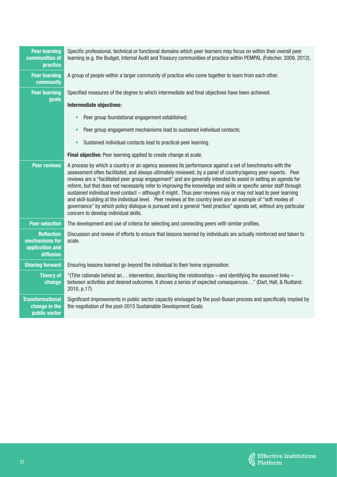| <b>Peer learning</b><br>A group of people within a larger community of practice who come together to learn from each other.<br>community<br><b>Peer learning</b><br>Specified measures of the degree to which intermediate and final objectives have been achieved.<br>goals<br>Intermediate objectives:<br>Peer group foundational engagement established;<br>Peer group engagement mechanisms lead to sustained individual contacts;<br>Sustained individual contacts lead to practical peer learning.<br>Final objective: Peer learning applied to create change at scale.<br><b>Peer reviews</b><br>A process by which a country or an agency assesses its performance against a set of benchmarks with the<br>assessment often facilitated, and always ultimately reviewed, by a panel of country/agency peer experts. Peer<br>reviews are a "facilitated peer group engagement" and are generally intended to assist in setting an agenda for<br>reform, but that does not necessarily refer to improving the knowledge and skills or specific senior staff through<br>sustained individual level contact - although it might. Thus peer reviews may or may not lead to peer learning<br>and skill-building at the individual level. Peer reviews at the country level are an example of "soft modes of<br>governance" by which policy dialogue is pursued and a general "best practice" agenda set, without any particular<br>concern to develop individual skills.<br><b>Peer selection</b><br>The development and use of criteria for selecting and connecting peers with similar profiles.<br><b>Reflection</b><br>Discussion and review of efforts to ensure that lessons learned by individuals are actually reinforced and taken to<br>mechanisms for<br>scale.<br>application and<br>diffusion<br>Ensuring lessons learned go beyond the individual to their home organisation.<br><b>Sharing forward</b><br><b>Theory of</b><br>"(T) he rationale behind an intervention, describing the relationships – and identifying the assumed links –<br>between activities and desired outcomes. It shows a series of expected consequences" (Dart, Hall, & Rudland,<br>change<br>2010, p.17).<br><b>Transformational</b><br>Significant improvements in public sector capacity envisaged by the post-Busan process and specifically implied by<br>the negotiation of the post-2015 Sustainable Development Goals.<br>change in the<br>public sector | <b>Peer learning</b><br>communities of<br>practice | Specific professional, technical or functional domains which peer learners may focus on within their overall peer<br>learning (e.g. the Budget, Internal Audit and Treasury communities of practice within PEMPAL (Folscher, 2009, 2012). |  |  |
|-------------------------------------------------------------------------------------------------------------------------------------------------------------------------------------------------------------------------------------------------------------------------------------------------------------------------------------------------------------------------------------------------------------------------------------------------------------------------------------------------------------------------------------------------------------------------------------------------------------------------------------------------------------------------------------------------------------------------------------------------------------------------------------------------------------------------------------------------------------------------------------------------------------------------------------------------------------------------------------------------------------------------------------------------------------------------------------------------------------------------------------------------------------------------------------------------------------------------------------------------------------------------------------------------------------------------------------------------------------------------------------------------------------------------------------------------------------------------------------------------------------------------------------------------------------------------------------------------------------------------------------------------------------------------------------------------------------------------------------------------------------------------------------------------------------------------------------------------------------------------------------------------------------------------------------------------------------------------------------------------------------------------------------------------------------------------------------------------------------------------------------------------------------------------------------------------------------------------------------------------------------------------------------------------------------------------------------------------------------------------------------------------------------------------------------------------------------|----------------------------------------------------|-------------------------------------------------------------------------------------------------------------------------------------------------------------------------------------------------------------------------------------------|--|--|
|                                                                                                                                                                                                                                                                                                                                                                                                                                                                                                                                                                                                                                                                                                                                                                                                                                                                                                                                                                                                                                                                                                                                                                                                                                                                                                                                                                                                                                                                                                                                                                                                                                                                                                                                                                                                                                                                                                                                                                                                                                                                                                                                                                                                                                                                                                                                                                                                                                                             |                                                    |                                                                                                                                                                                                                                           |  |  |
|                                                                                                                                                                                                                                                                                                                                                                                                                                                                                                                                                                                                                                                                                                                                                                                                                                                                                                                                                                                                                                                                                                                                                                                                                                                                                                                                                                                                                                                                                                                                                                                                                                                                                                                                                                                                                                                                                                                                                                                                                                                                                                                                                                                                                                                                                                                                                                                                                                                             |                                                    |                                                                                                                                                                                                                                           |  |  |
|                                                                                                                                                                                                                                                                                                                                                                                                                                                                                                                                                                                                                                                                                                                                                                                                                                                                                                                                                                                                                                                                                                                                                                                                                                                                                                                                                                                                                                                                                                                                                                                                                                                                                                                                                                                                                                                                                                                                                                                                                                                                                                                                                                                                                                                                                                                                                                                                                                                             |                                                    |                                                                                                                                                                                                                                           |  |  |
|                                                                                                                                                                                                                                                                                                                                                                                                                                                                                                                                                                                                                                                                                                                                                                                                                                                                                                                                                                                                                                                                                                                                                                                                                                                                                                                                                                                                                                                                                                                                                                                                                                                                                                                                                                                                                                                                                                                                                                                                                                                                                                                                                                                                                                                                                                                                                                                                                                                             |                                                    |                                                                                                                                                                                                                                           |  |  |
|                                                                                                                                                                                                                                                                                                                                                                                                                                                                                                                                                                                                                                                                                                                                                                                                                                                                                                                                                                                                                                                                                                                                                                                                                                                                                                                                                                                                                                                                                                                                                                                                                                                                                                                                                                                                                                                                                                                                                                                                                                                                                                                                                                                                                                                                                                                                                                                                                                                             |                                                    |                                                                                                                                                                                                                                           |  |  |
|                                                                                                                                                                                                                                                                                                                                                                                                                                                                                                                                                                                                                                                                                                                                                                                                                                                                                                                                                                                                                                                                                                                                                                                                                                                                                                                                                                                                                                                                                                                                                                                                                                                                                                                                                                                                                                                                                                                                                                                                                                                                                                                                                                                                                                                                                                                                                                                                                                                             |                                                    |                                                                                                                                                                                                                                           |  |  |
|                                                                                                                                                                                                                                                                                                                                                                                                                                                                                                                                                                                                                                                                                                                                                                                                                                                                                                                                                                                                                                                                                                                                                                                                                                                                                                                                                                                                                                                                                                                                                                                                                                                                                                                                                                                                                                                                                                                                                                                                                                                                                                                                                                                                                                                                                                                                                                                                                                                             |                                                    |                                                                                                                                                                                                                                           |  |  |
|                                                                                                                                                                                                                                                                                                                                                                                                                                                                                                                                                                                                                                                                                                                                                                                                                                                                                                                                                                                                                                                                                                                                                                                                                                                                                                                                                                                                                                                                                                                                                                                                                                                                                                                                                                                                                                                                                                                                                                                                                                                                                                                                                                                                                                                                                                                                                                                                                                                             |                                                    |                                                                                                                                                                                                                                           |  |  |
|                                                                                                                                                                                                                                                                                                                                                                                                                                                                                                                                                                                                                                                                                                                                                                                                                                                                                                                                                                                                                                                                                                                                                                                                                                                                                                                                                                                                                                                                                                                                                                                                                                                                                                                                                                                                                                                                                                                                                                                                                                                                                                                                                                                                                                                                                                                                                                                                                                                             |                                                    |                                                                                                                                                                                                                                           |  |  |
|                                                                                                                                                                                                                                                                                                                                                                                                                                                                                                                                                                                                                                                                                                                                                                                                                                                                                                                                                                                                                                                                                                                                                                                                                                                                                                                                                                                                                                                                                                                                                                                                                                                                                                                                                                                                                                                                                                                                                                                                                                                                                                                                                                                                                                                                                                                                                                                                                                                             |                                                    |                                                                                                                                                                                                                                           |  |  |
|                                                                                                                                                                                                                                                                                                                                                                                                                                                                                                                                                                                                                                                                                                                                                                                                                                                                                                                                                                                                                                                                                                                                                                                                                                                                                                                                                                                                                                                                                                                                                                                                                                                                                                                                                                                                                                                                                                                                                                                                                                                                                                                                                                                                                                                                                                                                                                                                                                                             |                                                    |                                                                                                                                                                                                                                           |  |  |
|                                                                                                                                                                                                                                                                                                                                                                                                                                                                                                                                                                                                                                                                                                                                                                                                                                                                                                                                                                                                                                                                                                                                                                                                                                                                                                                                                                                                                                                                                                                                                                                                                                                                                                                                                                                                                                                                                                                                                                                                                                                                                                                                                                                                                                                                                                                                                                                                                                                             |                                                    |                                                                                                                                                                                                                                           |  |  |